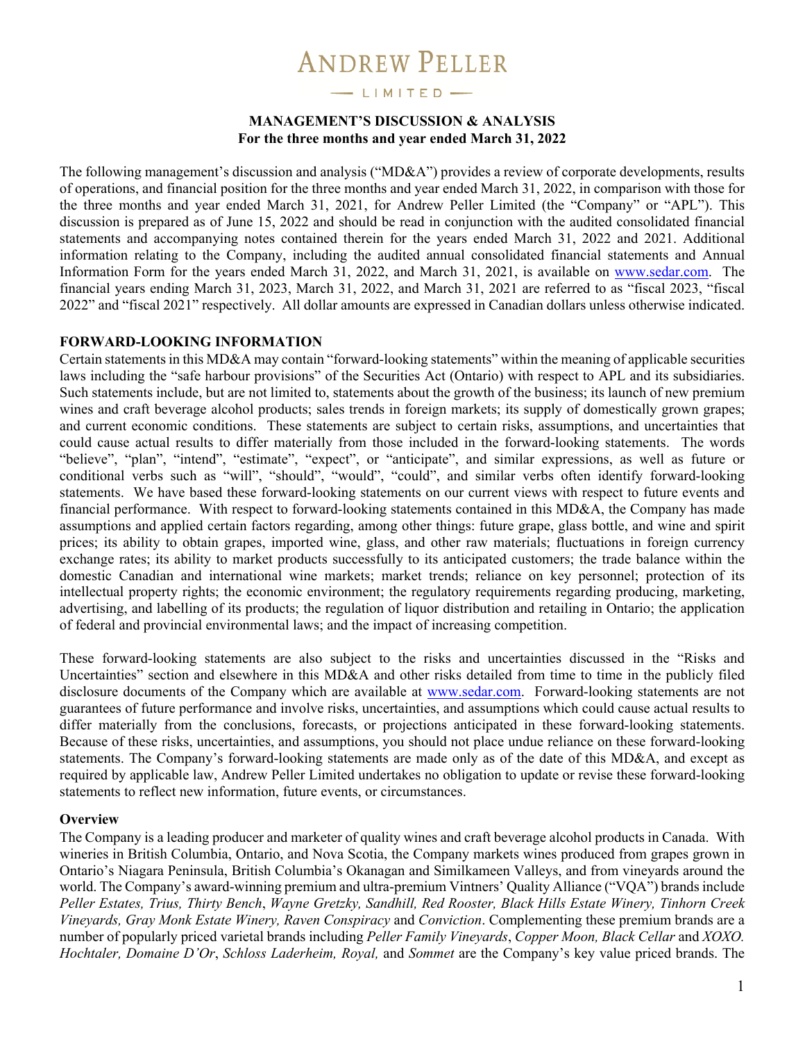# **ANDREW PELLER**

 $-$  LIMITED  $-$ 

## **MANAGEMENT'S DISCUSSION & ANALYSIS For the three months and year ended March 31, 2022**

The following management's discussion and analysis ("MD&A") provides a review of corporate developments, results of operations, and financial position for the three months and year ended March 31, 2022, in comparison with those for the three months and year ended March 31, 2021, for Andrew Peller Limited (the "Company" or "APL"). This discussion is prepared as of June 15, 2022 and should be read in conjunction with the audited consolidated financial statements and accompanying notes contained therein for the years ended March 31, 2022 and 2021. Additional information relating to the Company, including the audited annual consolidated financial statements and Annual Information Form for the years ended March 31, 2022, and March 31, 2021, is available on www.sedar.com. The financial years ending March 31, 2023, March 31, 2022, and March 31, 2021 are referred to as "fiscal 2023, "fiscal 2022" and "fiscal 2021" respectively. All dollar amounts are expressed in Canadian dollars unless otherwise indicated.

# **FORWARD-LOOKING INFORMATION**

Certain statements in this MD&A may contain "forward-looking statements" within the meaning of applicable securities laws including the "safe harbour provisions" of the Securities Act (Ontario) with respect to APL and its subsidiaries. Such statements include, but are not limited to, statements about the growth of the business; its launch of new premium wines and craft beverage alcohol products; sales trends in foreign markets; its supply of domestically grown grapes; and current economic conditions. These statements are subject to certain risks, assumptions, and uncertainties that could cause actual results to differ materially from those included in the forward-looking statements. The words "believe", "plan", "intend", "estimate", "expect", or "anticipate", and similar expressions, as well as future or conditional verbs such as "will", "should", "would", "could", and similar verbs often identify forward-looking statements. We have based these forward-looking statements on our current views with respect to future events and financial performance. With respect to forward-looking statements contained in this MD&A, the Company has made assumptions and applied certain factors regarding, among other things: future grape, glass bottle, and wine and spirit prices; its ability to obtain grapes, imported wine, glass, and other raw materials; fluctuations in foreign currency exchange rates; its ability to market products successfully to its anticipated customers; the trade balance within the domestic Canadian and international wine markets; market trends; reliance on key personnel; protection of its intellectual property rights; the economic environment; the regulatory requirements regarding producing, marketing, advertising, and labelling of its products; the regulation of liquor distribution and retailing in Ontario; the application of federal and provincial environmental laws; and the impact of increasing competition.

These forward-looking statements are also subject to the risks and uncertainties discussed in the "Risks and Uncertainties" section and elsewhere in this MD&A and other risks detailed from time to time in the publicly filed disclosure documents of the Company which are available at www.sedar.com. Forward-looking statements are not guarantees of future performance and involve risks, uncertainties, and assumptions which could cause actual results to differ materially from the conclusions, forecasts, or projections anticipated in these forward-looking statements. Because of these risks, uncertainties, and assumptions, you should not place undue reliance on these forward-looking statements. The Company's forward-looking statements are made only as of the date of this MD&A, and except as required by applicable law, Andrew Peller Limited undertakes no obligation to update or revise these forward-looking statements to reflect new information, future events, or circumstances.

#### **Overview**

The Company is a leading producer and marketer of quality wines and craft beverage alcohol products in Canada. With wineries in British Columbia, Ontario, and Nova Scotia, the Company markets wines produced from grapes grown in Ontario's Niagara Peninsula, British Columbia's Okanagan and Similkameen Valleys, and from vineyards around the world. The Company's award-winning premium and ultra-premium Vintners' Quality Alliance ("VQA") brands include *Peller Estates, Trius, Thirty Bench*, *Wayne Gretzky, Sandhill, Red Rooster, Black Hills Estate Winery, Tinhorn Creek Vineyards, Gray Monk Estate Winery, Raven Conspiracy* and *Conviction*. Complementing these premium brands are a number of popularly priced varietal brands including *Peller Family Vineyards*, *Copper Moon, Black Cellar* and *XOXO. Hochtaler, Domaine D'Or*, *Schloss Laderheim, Royal,* and *Sommet* are the Company's key value priced brands. The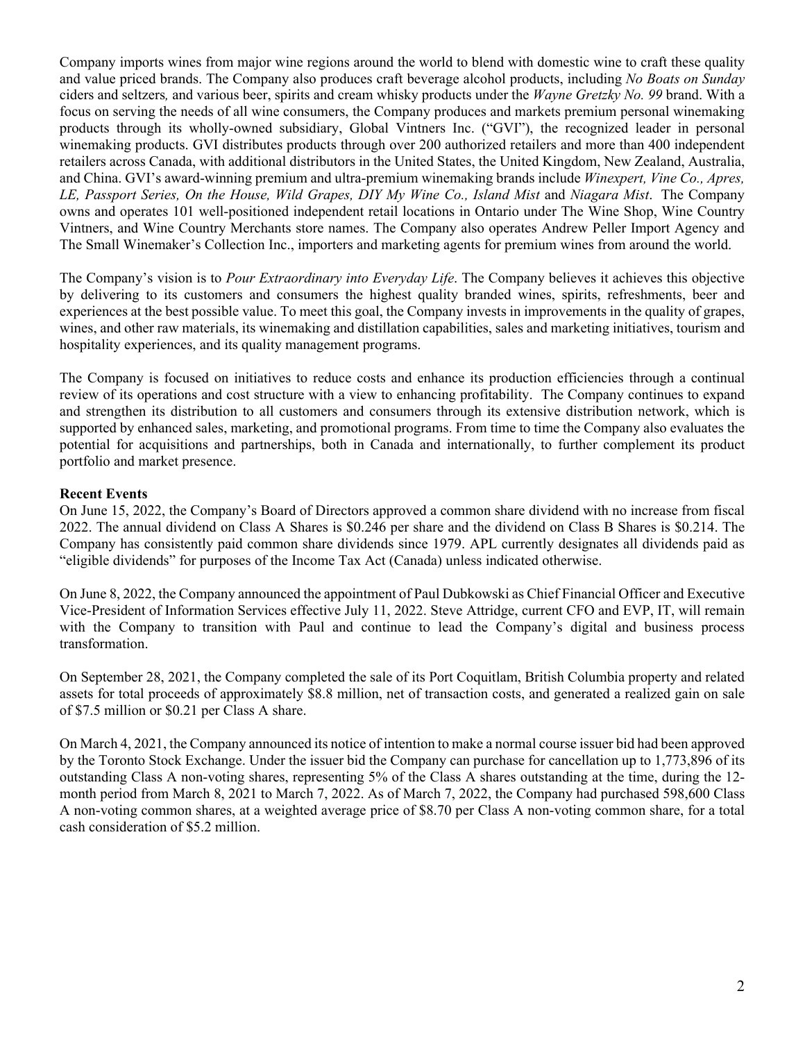Company imports wines from major wine regions around the world to blend with domestic wine to craft these quality and value priced brands. The Company also produces craft beverage alcohol products, including *No Boats on Sunday*  ciders and seltzers*,* and various beer, spirits and cream whisky products under the *Wayne Gretzky No. 99* brand. With a focus on serving the needs of all wine consumers, the Company produces and markets premium personal winemaking products through its wholly-owned subsidiary, Global Vintners Inc. ("GVI"), the recognized leader in personal winemaking products. GVI distributes products through over 200 authorized retailers and more than 400 independent retailers across Canada, with additional distributors in the United States, the United Kingdom, New Zealand, Australia, and China. GVI's award-winning premium and ultra-premium winemaking brands include *Winexpert, Vine Co., Apres, LE, Passport Series, On the House, Wild Grapes, DIY My Wine Co., Island Mist* and *Niagara Mist*. The Company owns and operates 101 well-positioned independent retail locations in Ontario under The Wine Shop, Wine Country Vintners, and Wine Country Merchants store names. The Company also operates Andrew Peller Import Agency and The Small Winemaker's Collection Inc., importers and marketing agents for premium wines from around the world.

The Company's vision is to *Pour Extraordinary into Everyday Life*. The Company believes it achieves this objective by delivering to its customers and consumers the highest quality branded wines, spirits, refreshments, beer and experiences at the best possible value. To meet this goal, the Company invests in improvements in the quality of grapes, wines, and other raw materials, its winemaking and distillation capabilities, sales and marketing initiatives, tourism and hospitality experiences, and its quality management programs.

The Company is focused on initiatives to reduce costs and enhance its production efficiencies through a continual review of its operations and cost structure with a view to enhancing profitability. The Company continues to expand and strengthen its distribution to all customers and consumers through its extensive distribution network, which is supported by enhanced sales, marketing, and promotional programs. From time to time the Company also evaluates the potential for acquisitions and partnerships, both in Canada and internationally, to further complement its product portfolio and market presence.

# **Recent Events**

On June 15, 2022, the Company's Board of Directors approved a common share dividend with no increase from fiscal 2022. The annual dividend on Class A Shares is \$0.246 per share and the dividend on Class B Shares is \$0.214. The Company has consistently paid common share dividends since 1979. APL currently designates all dividends paid as "eligible dividends" for purposes of the Income Tax Act (Canada) unless indicated otherwise.

On June 8, 2022, the Company announced the appointment of Paul Dubkowski as Chief Financial Officer and Executive Vice-President of Information Services effective July 11, 2022. Steve Attridge, current CFO and EVP, IT, will remain with the Company to transition with Paul and continue to lead the Company's digital and business process transformation.

On September 28, 2021, the Company completed the sale of its Port Coquitlam, British Columbia property and related assets for total proceeds of approximately \$8.8 million, net of transaction costs, and generated a realized gain on sale of \$7.5 million or \$0.21 per Class A share.

On March 4, 2021, the Company announced its notice of intention to make a normal course issuer bid had been approved by the Toronto Stock Exchange. Under the issuer bid the Company can purchase for cancellation up to 1,773,896 of its outstanding Class A non-voting shares, representing 5% of the Class A shares outstanding at the time, during the 12 month period from March 8, 2021 to March 7, 2022. As of March 7, 2022, the Company had purchased 598,600 Class A non-voting common shares, at a weighted average price of \$8.70 per Class A non-voting common share, for a total cash consideration of \$5.2 million.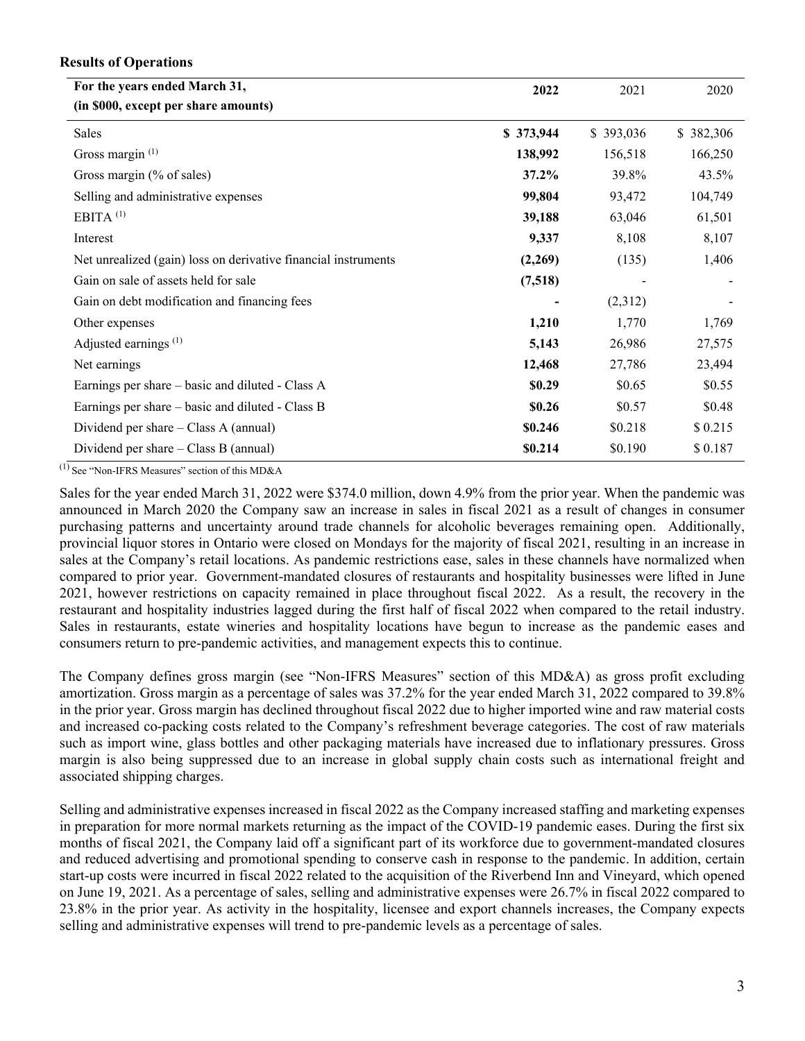#### **Results of Operations**

| For the years ended March 31,                                  | 2022      | 2021      | 2020      |
|----------------------------------------------------------------|-----------|-----------|-----------|
| (in \$000, except per share amounts)                           |           |           |           |
| Sales                                                          | \$373,944 | \$393,036 | \$382,306 |
| Gross margin $(1)$                                             | 138,992   | 156,518   | 166,250   |
| Gross margin (% of sales)                                      | $37.2\%$  | 39.8%     | 43.5%     |
| Selling and administrative expenses                            | 99,804    | 93,472    | 104,749   |
| EBITA <sup>(1)</sup>                                           | 39,188    | 63,046    | 61,501    |
| Interest                                                       | 9,337     | 8,108     | 8,107     |
| Net unrealized (gain) loss on derivative financial instruments | (2,269)   | (135)     | 1,406     |
| Gain on sale of assets held for sale                           | (7,518)   |           |           |
| Gain on debt modification and financing fees                   |           | (2,312)   |           |
| Other expenses                                                 | 1,210     | 1,770     | 1,769     |
| Adjusted earnings <sup>(1)</sup>                               | 5,143     | 26,986    | 27,575    |
| Net earnings                                                   | 12,468    | 27,786    | 23,494    |
| Earnings per share – basic and diluted - Class A               | \$0.29    | \$0.65    | \$0.55    |
| Earnings per share – basic and diluted - Class B               | \$0.26    | \$0.57    | \$0.48    |
| Dividend per share – Class A (annual)                          | \$0.246   | \$0.218   | \$0.215   |
| Dividend per share – Class B (annual)                          | \$0.214   | \$0.190   | \$0.187   |

(1) See "Non-IFRS Measures" section of this MD&A

Sales for the year ended March 31, 2022 were \$374.0 million, down 4.9% from the prior year. When the pandemic was announced in March 2020 the Company saw an increase in sales in fiscal 2021 as a result of changes in consumer purchasing patterns and uncertainty around trade channels for alcoholic beverages remaining open. Additionally, provincial liquor stores in Ontario were closed on Mondays for the majority of fiscal 2021, resulting in an increase in sales at the Company's retail locations. As pandemic restrictions ease, sales in these channels have normalized when compared to prior year. Government-mandated closures of restaurants and hospitality businesses were lifted in June 2021, however restrictions on capacity remained in place throughout fiscal 2022. As a result, the recovery in the restaurant and hospitality industries lagged during the first half of fiscal 2022 when compared to the retail industry. Sales in restaurants, estate wineries and hospitality locations have begun to increase as the pandemic eases and consumers return to pre-pandemic activities, and management expects this to continue.

The Company defines gross margin (see "Non-IFRS Measures" section of this MD&A) as gross profit excluding amortization. Gross margin as a percentage of sales was 37.2% for the year ended March 31, 2022 compared to 39.8% in the prior year. Gross margin has declined throughout fiscal 2022 due to higher imported wine and raw material costs and increased co-packing costs related to the Company's refreshment beverage categories. The cost of raw materials such as import wine, glass bottles and other packaging materials have increased due to inflationary pressures. Gross margin is also being suppressed due to an increase in global supply chain costs such as international freight and associated shipping charges.

Selling and administrative expenses increased in fiscal 2022 as the Company increased staffing and marketing expenses in preparation for more normal markets returning as the impact of the COVID-19 pandemic eases. During the first six months of fiscal 2021, the Company laid off a significant part of its workforce due to government-mandated closures and reduced advertising and promotional spending to conserve cash in response to the pandemic. In addition, certain start-up costs were incurred in fiscal 2022 related to the acquisition of the Riverbend Inn and Vineyard, which opened on June 19, 2021. As a percentage of sales, selling and administrative expenses were 26.7% in fiscal 2022 compared to 23.8% in the prior year. As activity in the hospitality, licensee and export channels increases, the Company expects selling and administrative expenses will trend to pre-pandemic levels as a percentage of sales.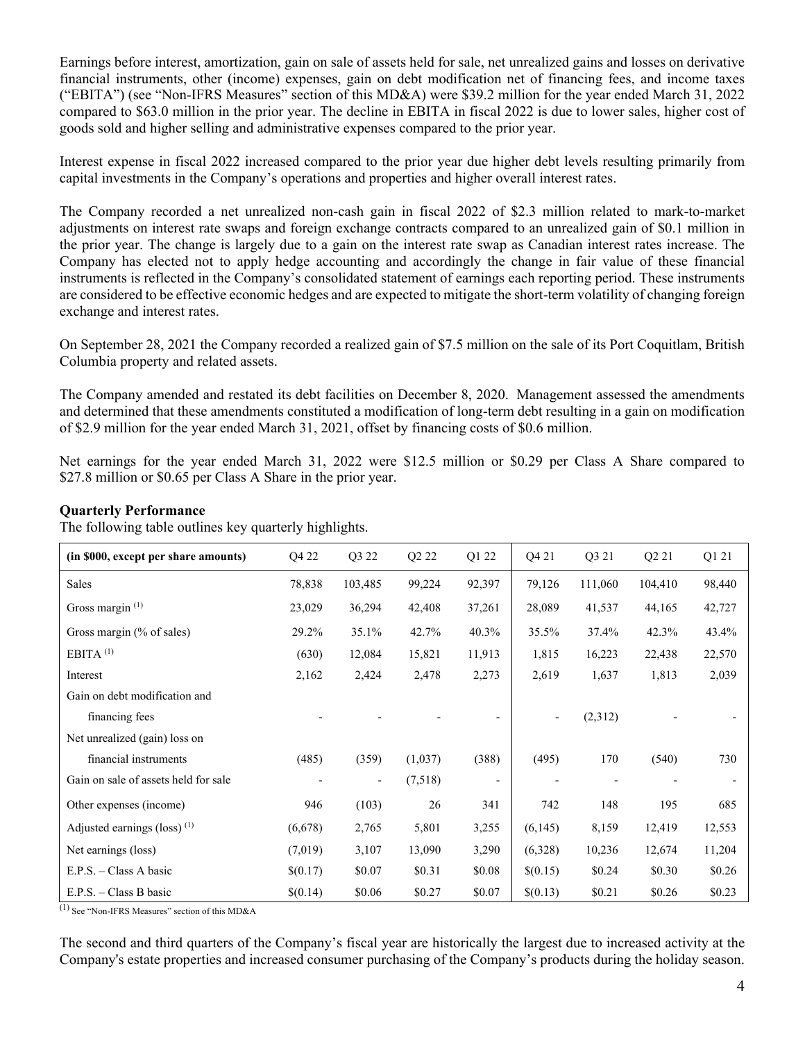Earnings before interest, amortization, gain on sale of assets held for sale, net unrealized gains and losses on derivative financial instruments, other (income) expenses, gain on debt modification net of financing fees, and income taxes ("EBITA") (see "Non-IFRS Measures" section of this MD&A) were \$39.2 million for the year ended March 31, 2022 compared to \$63.0 million in the prior year. The decline in EBITA in fiscal 2022 is due to lower sales, higher cost of goods sold and higher selling and administrative expenses compared to the prior year.

Interest expense in fiscal 2022 increased compared to the prior year due higher debt levels resulting primarily from capital investments in the Company's operations and properties and higher overall interest rates.

The Company recorded a net unrealized non-cash gain in fiscal 2022 of \$2.3 million related to mark-to-market adjustments on interest rate swaps and foreign exchange contracts compared to an unrealized gain of \$0.1 million in the prior year. The change is largely due to a gain on the interest rate swap as Canadian interest rates increase. The Company has elected not to apply hedge accounting and accordingly the change in fair value of these financial instruments is reflected in the Company's consolidated statement of earnings each reporting period. These instruments are considered to be effective economic hedges and are expected to mitigate the short-term volatility of changing foreign exchange and interest rates.

On September 28, 2021 the Company recorded a realized gain of \$7.5 million on the sale of its Port Coquitlam, British Columbia property and related assets.

The Company amended and restated its debt facilities on December 8, 2020. Management assessed the amendments and determined that these amendments constituted a modification of long-term debt resulting in a gain on modification of \$2.9 million for the year ended March 31, 2021, offset by financing costs of \$0.6 million.

Net earnings for the year ended March 31, 2022 were \$12.5 million or \$0.29 per Class A Share compared to \$27.8 million or \$0.65 per Class A Share in the prior year.

# **Quarterly Performance**

The following table outlines key quarterly highlights.

| (in \$000, except per share amounts)             | Q4 22    | Q3 22                    | Q2 22   | Q1 22                        | Q4 21    | Q3 21   | Q <sub>2</sub> 2 <sub>1</sub> | Q1 21  |
|--------------------------------------------------|----------|--------------------------|---------|------------------------------|----------|---------|-------------------------------|--------|
| Sales                                            | 78,838   | 103,485                  | 99,224  | 92,397                       | 79,126   | 111,060 | 104,410                       | 98,440 |
| Gross margin $(1)$                               | 23,029   | 36,294                   | 42,408  | 37,261                       | 28,089   | 41,537  | 44,165                        | 42,727 |
| Gross margin (% of sales)                        | 29.2%    | 35.1%                    | 42.7%   | 40.3%                        | 35.5%    | 37.4%   | 42.3%                         | 43.4%  |
| EBITA <sup>(1)</sup>                             | (630)    | 12,084                   | 15,821  | 11,913                       | 1,815    | 16,223  | 22,438                        | 22,570 |
| Interest                                         | 2,162    | 2,424                    | 2,478   | 2,273                        | 2,619    | 1,637   | 1,813                         | 2,039  |
| Gain on debt modification and                    |          |                          |         |                              |          |         |                               |        |
| financing fees                                   |          |                          |         | $\overline{\phantom{0}}$     |          | (2,312) |                               |        |
| Net unrealized (gain) loss on                    |          |                          |         |                              |          |         |                               |        |
| financial instruments                            | (485)    | (359)                    | (1,037) | (388)                        | (495)    | 170     | (540)                         | 730    |
| Gain on sale of assets held for sale             |          | $\overline{\phantom{a}}$ | (7,518) | $\qquad \qquad \blacksquare$ |          |         |                               |        |
| Other expenses (income)                          | 946      | (103)                    | 26      | 341                          | 742      | 148     | 195                           | 685    |
| Adjusted earnings $(\text{loss})$ <sup>(1)</sup> | (6,678)  | 2,765                    | 5,801   | 3,255                        | (6,145)  | 8,159   | 12,419                        | 12,553 |
| Net earnings (loss)                              | (7,019)  | 3,107                    | 13,090  | 3,290                        | (6,328)  | 10,236  | 12,674                        | 11,204 |
| $E.P.S. - Class A basic$                         | \$(0.17) | \$0.07                   | \$0.31  | \$0.08                       | \$(0.15) | \$0.24  | \$0.30                        | \$0.26 |
| $E.P.S. - Class B basic$                         | \$(0.14) | \$0.06                   | \$0.27  | \$0.07                       | \$(0.13) | \$0.21  | \$0.26                        | \$0.23 |

(1) See "Non-IFRS Measures" section of this MD&A

The second and third quarters of the Company's fiscal year are historically the largest due to increased activity at the Company's estate properties and increased consumer purchasing of the Company's products during the holiday season.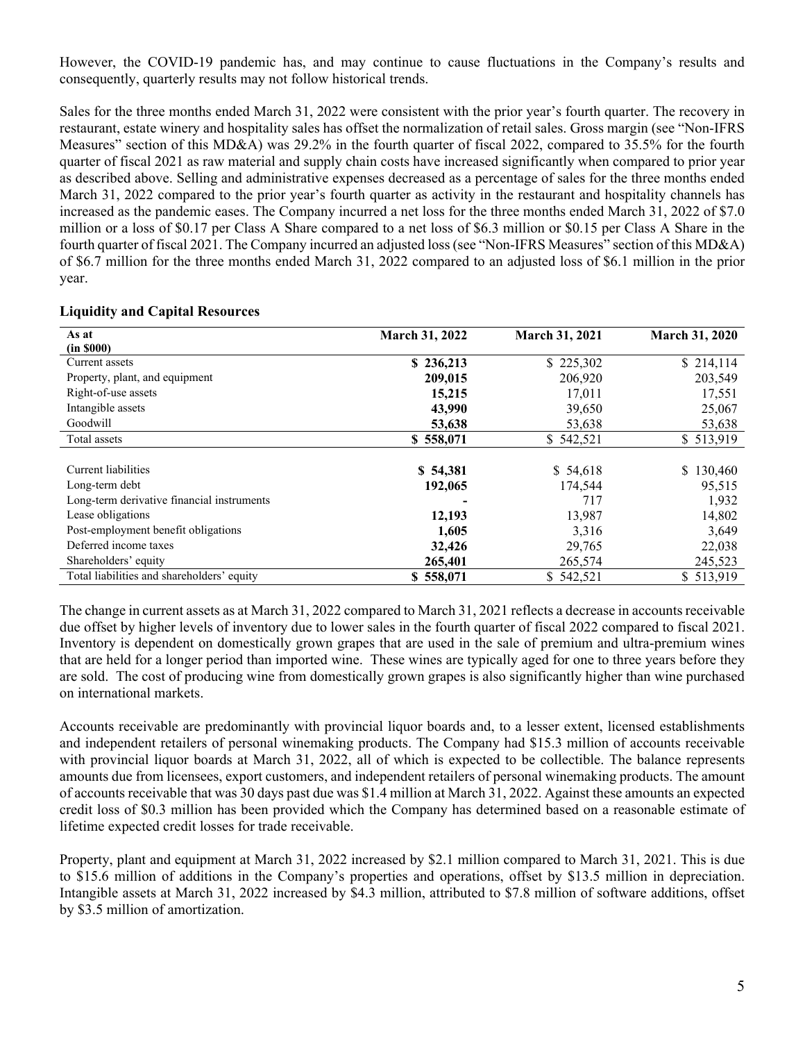However, the COVID-19 pandemic has, and may continue to cause fluctuations in the Company's results and consequently, quarterly results may not follow historical trends.

Sales for the three months ended March 31, 2022 were consistent with the prior year's fourth quarter. The recovery in restaurant, estate winery and hospitality sales has offset the normalization of retail sales. Gross margin (see "Non-IFRS Measures" section of this MD&A) was 29.2% in the fourth quarter of fiscal 2022, compared to 35.5% for the fourth quarter of fiscal 2021 as raw material and supply chain costs have increased significantly when compared to prior year as described above. Selling and administrative expenses decreased as a percentage of sales for the three months ended March 31, 2022 compared to the prior year's fourth quarter as activity in the restaurant and hospitality channels has increased as the pandemic eases. The Company incurred a net loss for the three months ended March 31, 2022 of \$7.0 million or a loss of \$0.17 per Class A Share compared to a net loss of \$6.3 million or \$0.15 per Class A Share in the fourth quarter of fiscal 2021. The Company incurred an adjusted loss (see "Non-IFRS Measures" section of this MD&A) of \$6.7 million for the three months ended March 31, 2022 compared to an adjusted loss of \$6.1 million in the prior year.

| As at                                      | <b>March 31, 2022</b> | <b>March 31, 2021</b> | <b>March 31, 2020</b> |
|--------------------------------------------|-----------------------|-----------------------|-----------------------|
| (in 8000)                                  |                       |                       |                       |
| Current assets                             | \$236,213             | \$225,302             | \$214,114             |
| Property, plant, and equipment             | 209,015               | 206,920               | 203,549               |
| Right-of-use assets                        | 15,215                | 17,011                | 17,551                |
| Intangible assets                          | 43,990                | 39,650                | 25,067                |
| Goodwill                                   | 53,638                | 53,638                | 53,638                |
| Total assets                               | \$558,071             | \$542,521             | \$513,919             |
|                                            |                       |                       |                       |
| Current liabilities                        | \$54,381              | \$54,618              | 130,460               |
| Long-term debt                             | 192,065               | 174,544               | 95,515                |
| Long-term derivative financial instruments |                       | 717                   | 1,932                 |
| Lease obligations                          | 12,193                | 13,987                | 14,802                |
| Post-employment benefit obligations        | 1,605                 | 3,316                 | 3,649                 |
| Deferred income taxes                      | 32,426                | 29,765                | 22,038                |
| Shareholders' equity                       | 265,401               | 265,574               | 245,523               |
| Total liabilities and shareholders' equity | \$558,071             | \$542,521             | \$513,919             |

# **Liquidity and Capital Resources**

The change in current assets as at March 31, 2022 compared to March 31, 2021 reflects a decrease in accounts receivable due offset by higher levels of inventory due to lower sales in the fourth quarter of fiscal 2022 compared to fiscal 2021. Inventory is dependent on domestically grown grapes that are used in the sale of premium and ultra-premium wines that are held for a longer period than imported wine. These wines are typically aged for one to three years before they are sold. The cost of producing wine from domestically grown grapes is also significantly higher than wine purchased on international markets.

Accounts receivable are predominantly with provincial liquor boards and, to a lesser extent, licensed establishments and independent retailers of personal winemaking products. The Company had \$15.3 million of accounts receivable with provincial liquor boards at March 31, 2022, all of which is expected to be collectible. The balance represents amounts due from licensees, export customers, and independent retailers of personal winemaking products. The amount of accounts receivable that was 30 days past due was \$1.4 million at March 31, 2022. Against these amounts an expected credit loss of \$0.3 million has been provided which the Company has determined based on a reasonable estimate of lifetime expected credit losses for trade receivable.

Property, plant and equipment at March 31, 2022 increased by \$2.1 million compared to March 31, 2021. This is due to \$15.6 million of additions in the Company's properties and operations, offset by \$13.5 million in depreciation. Intangible assets at March 31, 2022 increased by \$4.3 million, attributed to \$7.8 million of software additions, offset by \$3.5 million of amortization.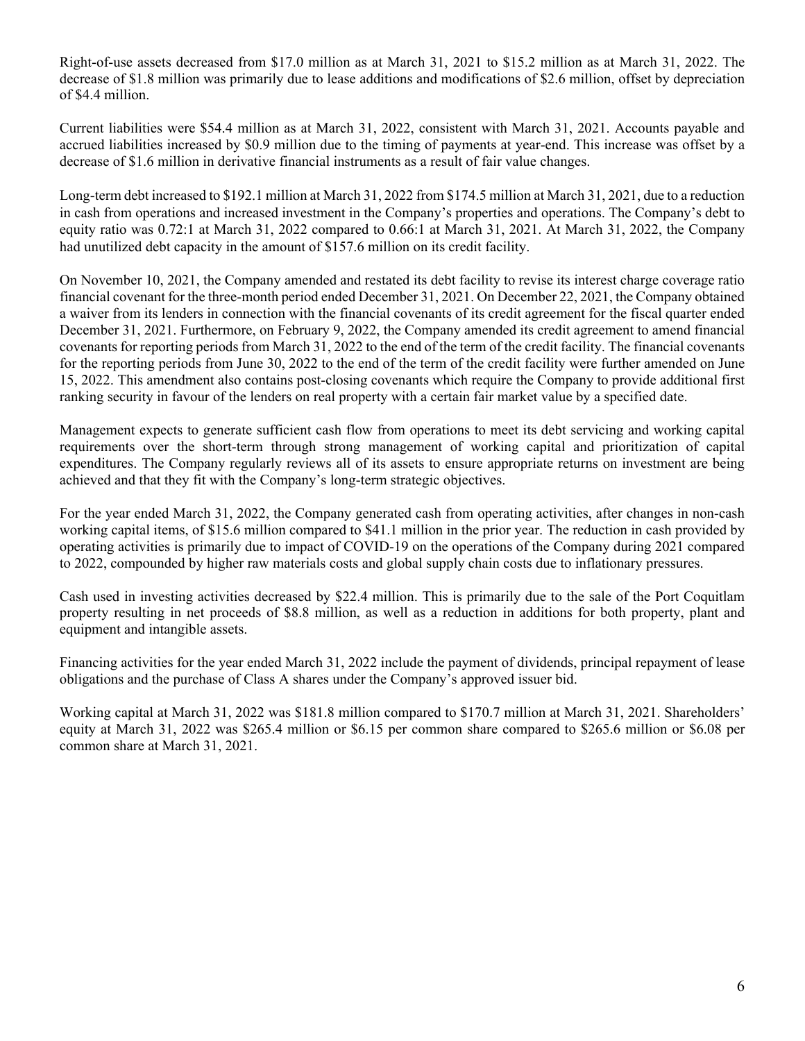Right-of-use assets decreased from \$17.0 million as at March 31, 2021 to \$15.2 million as at March 31, 2022. The decrease of \$1.8 million was primarily due to lease additions and modifications of \$2.6 million, offset by depreciation of \$4.4 million.

Current liabilities were \$54.4 million as at March 31, 2022, consistent with March 31, 2021. Accounts payable and accrued liabilities increased by \$0.9 million due to the timing of payments at year-end. This increase was offset by a decrease of \$1.6 million in derivative financial instruments as a result of fair value changes.

Long-term debt increased to \$192.1 million at March 31, 2022 from \$174.5 million at March 31, 2021, due to a reduction in cash from operations and increased investment in the Company's properties and operations. The Company's debt to equity ratio was 0.72:1 at March 31, 2022 compared to 0.66:1 at March 31, 2021. At March 31, 2022, the Company had unutilized debt capacity in the amount of \$157.6 million on its credit facility.

On November 10, 2021, the Company amended and restated its debt facility to revise its interest charge coverage ratio financial covenant for the three-month period ended December 31, 2021. On December 22, 2021, the Company obtained a waiver from its lenders in connection with the financial covenants of its credit agreement for the fiscal quarter ended December 31, 2021. Furthermore, on February 9, 2022, the Company amended its credit agreement to amend financial covenants for reporting periods from March 31, 2022 to the end of the term of the credit facility. The financial covenants for the reporting periods from June 30, 2022 to the end of the term of the credit facility were further amended on June 15, 2022. This amendment also contains post-closing covenants which require the Company to provide additional first ranking security in favour of the lenders on real property with a certain fair market value by a specified date.

Management expects to generate sufficient cash flow from operations to meet its debt servicing and working capital requirements over the short-term through strong management of working capital and prioritization of capital expenditures. The Company regularly reviews all of its assets to ensure appropriate returns on investment are being achieved and that they fit with the Company's long-term strategic objectives.

For the year ended March 31, 2022, the Company generated cash from operating activities, after changes in non-cash working capital items, of \$15.6 million compared to \$41.1 million in the prior year. The reduction in cash provided by operating activities is primarily due to impact of COVID-19 on the operations of the Company during 2021 compared to 2022, compounded by higher raw materials costs and global supply chain costs due to inflationary pressures.

Cash used in investing activities decreased by \$22.4 million. This is primarily due to the sale of the Port Coquitlam property resulting in net proceeds of \$8.8 million, as well as a reduction in additions for both property, plant and equipment and intangible assets.

Financing activities for the year ended March 31, 2022 include the payment of dividends, principal repayment of lease obligations and the purchase of Class A shares under the Company's approved issuer bid.

Working capital at March 31, 2022 was \$181.8 million compared to \$170.7 million at March 31, 2021. Shareholders' equity at March 31, 2022 was \$265.4 million or \$6.15 per common share compared to \$265.6 million or \$6.08 per common share at March 31, 2021.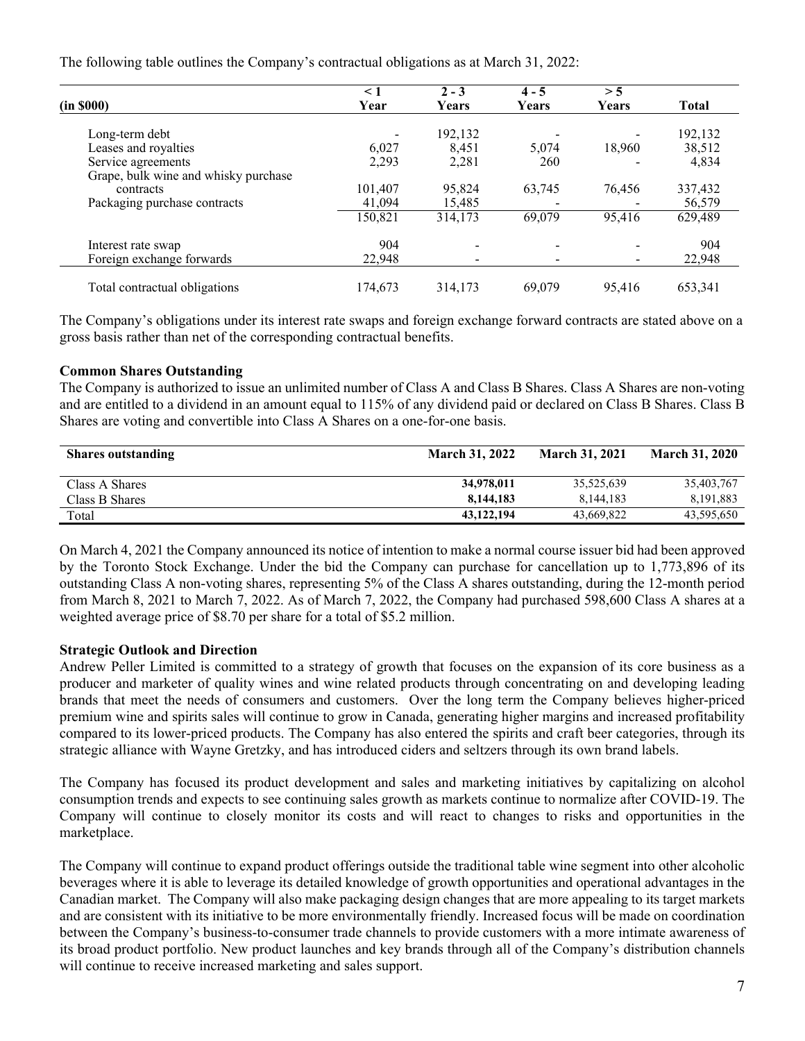The following table outlines the Company's contractual obligations as at March 31, 2022:

|                                      | $\leq 1$ | $2 - 3$ | $4 - 5$ | > 5                      |              |
|--------------------------------------|----------|---------|---------|--------------------------|--------------|
| (in 8000)                            | Year     | Years   | Years   | Years                    | <b>Total</b> |
| Long-term debt                       |          | 192,132 |         |                          | 192,132      |
| Leases and royalties                 | 6,027    | 8,451   | 5,074   | 18,960                   | 38,512       |
| Service agreements                   | 2,293    | 2,281   | 260     |                          | 4,834        |
| Grape, bulk wine and whisky purchase |          |         |         |                          |              |
| contracts                            | 101,407  | 95,824  | 63,745  | 76,456                   | 337,432      |
| Packaging purchase contracts         | 41,094   | 15.485  |         |                          | 56,579       |
|                                      | 150,821  | 314,173 | 69,079  | 95,416                   | 629,489      |
| Interest rate swap                   | 904      |         |         |                          | 904          |
| Foreign exchange forwards            | 22,948   |         |         | $\overline{\phantom{0}}$ | 22,948       |
| Total contractual obligations        | 174,673  | 314,173 | 69,079  | 95.416                   | 653,341      |

The Company's obligations under its interest rate swaps and foreign exchange forward contracts are stated above on a gross basis rather than net of the corresponding contractual benefits.

# **Common Shares Outstanding**

The Company is authorized to issue an unlimited number of Class A and Class B Shares. Class A Shares are non-voting and are entitled to a dividend in an amount equal to 115% of any dividend paid or declared on Class B Shares. Class B Shares are voting and convertible into Class A Shares on a one-for-one basis.

| <b>Shares outstanding</b>        | <b>March 31, 2022</b>   | <b>March 31, 2021</b>   | <b>March 31, 2020</b>     |
|----------------------------------|-------------------------|-------------------------|---------------------------|
| Class A Shares<br>Class B Shares | 34,978,011<br>8.144.183 | 35,525,639<br>8.144.183 | 35,403,767<br>8, 191, 883 |
| Total                            | 43,122,194              | 43,669,822              | 43,595,650                |

On March 4, 2021 the Company announced its notice of intention to make a normal course issuer bid had been approved by the Toronto Stock Exchange. Under the bid the Company can purchase for cancellation up to 1,773,896 of its outstanding Class A non-voting shares, representing 5% of the Class A shares outstanding, during the 12-month period from March 8, 2021 to March 7, 2022. As of March 7, 2022, the Company had purchased 598,600 Class A shares at a weighted average price of \$8.70 per share for a total of \$5.2 million.

# **Strategic Outlook and Direction**

Andrew Peller Limited is committed to a strategy of growth that focuses on the expansion of its core business as a producer and marketer of quality wines and wine related products through concentrating on and developing leading brands that meet the needs of consumers and customers. Over the long term the Company believes higher-priced premium wine and spirits sales will continue to grow in Canada, generating higher margins and increased profitability compared to its lower-priced products. The Company has also entered the spirits and craft beer categories, through its strategic alliance with Wayne Gretzky, and has introduced ciders and seltzers through its own brand labels.

The Company has focused its product development and sales and marketing initiatives by capitalizing on alcohol consumption trends and expects to see continuing sales growth as markets continue to normalize after COVID-19. The Company will continue to closely monitor its costs and will react to changes to risks and opportunities in the marketplace.

The Company will continue to expand product offerings outside the traditional table wine segment into other alcoholic beverages where it is able to leverage its detailed knowledge of growth opportunities and operational advantages in the Canadian market. The Company will also make packaging design changes that are more appealing to its target markets and are consistent with its initiative to be more environmentally friendly. Increased focus will be made on coordination between the Company's business-to-consumer trade channels to provide customers with a more intimate awareness of its broad product portfolio. New product launches and key brands through all of the Company's distribution channels will continue to receive increased marketing and sales support.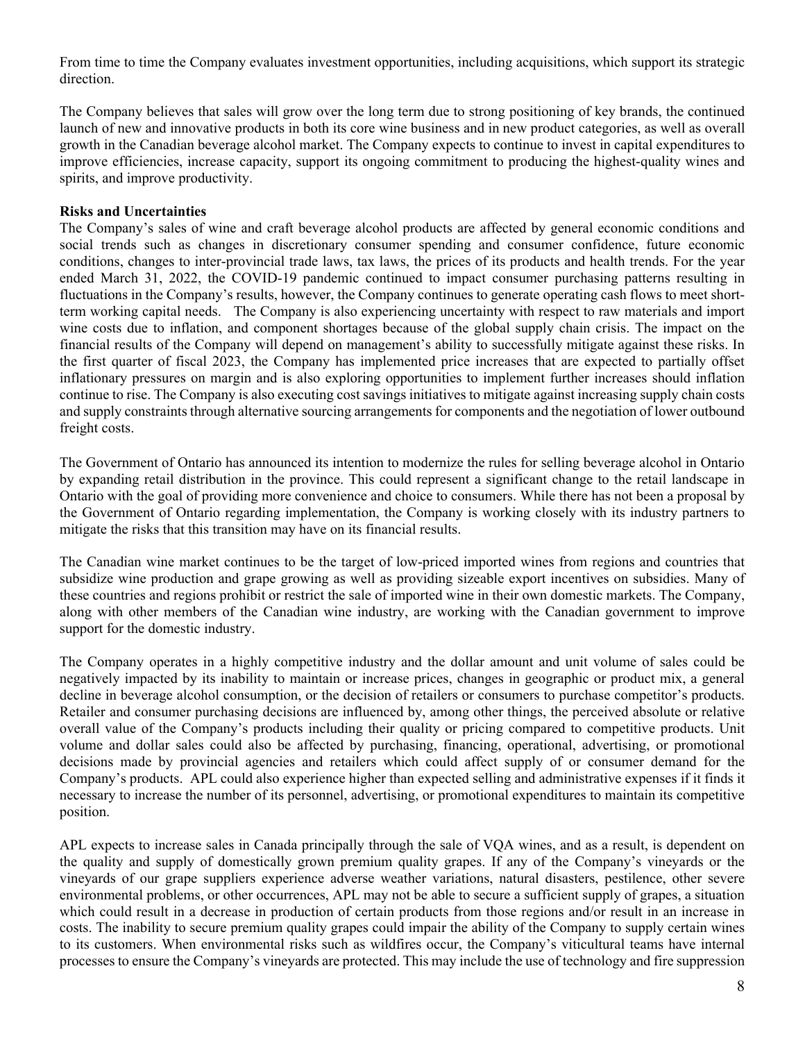From time to time the Company evaluates investment opportunities, including acquisitions, which support its strategic direction.

The Company believes that sales will grow over the long term due to strong positioning of key brands, the continued launch of new and innovative products in both its core wine business and in new product categories, as well as overall growth in the Canadian beverage alcohol market. The Company expects to continue to invest in capital expenditures to improve efficiencies, increase capacity, support its ongoing commitment to producing the highest-quality wines and spirits, and improve productivity.

# **Risks and Uncertainties**

The Company's sales of wine and craft beverage alcohol products are affected by general economic conditions and social trends such as changes in discretionary consumer spending and consumer confidence, future economic conditions, changes to inter-provincial trade laws, tax laws, the prices of its products and health trends. For the year ended March 31, 2022, the COVID-19 pandemic continued to impact consumer purchasing patterns resulting in fluctuations in the Company's results, however, the Company continues to generate operating cash flows to meet shortterm working capital needs. The Company is also experiencing uncertainty with respect to raw materials and import wine costs due to inflation, and component shortages because of the global supply chain crisis. The impact on the financial results of the Company will depend on management's ability to successfully mitigate against these risks. In the first quarter of fiscal 2023, the Company has implemented price increases that are expected to partially offset inflationary pressures on margin and is also exploring opportunities to implement further increases should inflation continue to rise. The Company is also executing cost savings initiatives to mitigate against increasing supply chain costs and supply constraints through alternative sourcing arrangements for components and the negotiation of lower outbound freight costs.

The Government of Ontario has announced its intention to modernize the rules for selling beverage alcohol in Ontario by expanding retail distribution in the province. This could represent a significant change to the retail landscape in Ontario with the goal of providing more convenience and choice to consumers. While there has not been a proposal by the Government of Ontario regarding implementation, the Company is working closely with its industry partners to mitigate the risks that this transition may have on its financial results.

The Canadian wine market continues to be the target of low-priced imported wines from regions and countries that subsidize wine production and grape growing as well as providing sizeable export incentives on subsidies. Many of these countries and regions prohibit or restrict the sale of imported wine in their own domestic markets. The Company, along with other members of the Canadian wine industry, are working with the Canadian government to improve support for the domestic industry.

The Company operates in a highly competitive industry and the dollar amount and unit volume of sales could be negatively impacted by its inability to maintain or increase prices, changes in geographic or product mix, a general decline in beverage alcohol consumption, or the decision of retailers or consumers to purchase competitor's products. Retailer and consumer purchasing decisions are influenced by, among other things, the perceived absolute or relative overall value of the Company's products including their quality or pricing compared to competitive products. Unit volume and dollar sales could also be affected by purchasing, financing, operational, advertising, or promotional decisions made by provincial agencies and retailers which could affect supply of or consumer demand for the Company's products. APL could also experience higher than expected selling and administrative expenses if it finds it necessary to increase the number of its personnel, advertising, or promotional expenditures to maintain its competitive position.

APL expects to increase sales in Canada principally through the sale of VQA wines, and as a result, is dependent on the quality and supply of domestically grown premium quality grapes. If any of the Company's vineyards or the vineyards of our grape suppliers experience adverse weather variations, natural disasters, pestilence, other severe environmental problems, or other occurrences, APL may not be able to secure a sufficient supply of grapes, a situation which could result in a decrease in production of certain products from those regions and/or result in an increase in costs. The inability to secure premium quality grapes could impair the ability of the Company to supply certain wines to its customers. When environmental risks such as wildfires occur, the Company's viticultural teams have internal processes to ensure the Company's vineyards are protected. This may include the use of technology and fire suppression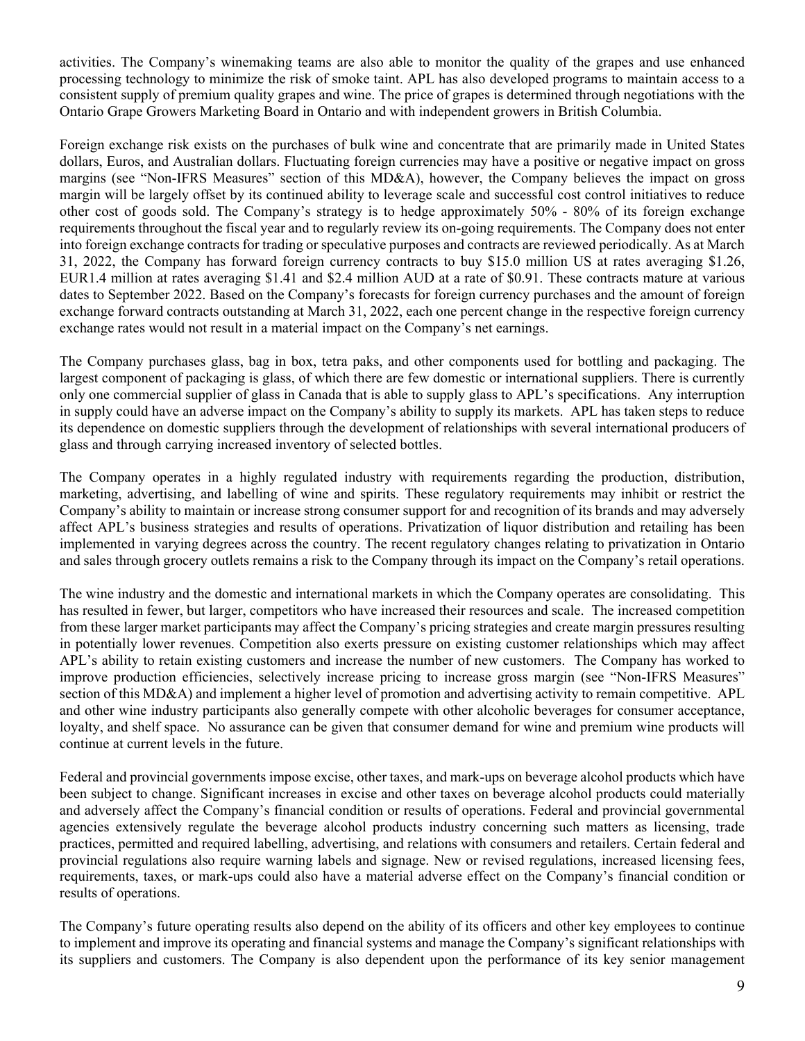activities. The Company's winemaking teams are also able to monitor the quality of the grapes and use enhanced processing technology to minimize the risk of smoke taint. APL has also developed programs to maintain access to a consistent supply of premium quality grapes and wine. The price of grapes is determined through negotiations with the Ontario Grape Growers Marketing Board in Ontario and with independent growers in British Columbia.

Foreign exchange risk exists on the purchases of bulk wine and concentrate that are primarily made in United States dollars, Euros, and Australian dollars. Fluctuating foreign currencies may have a positive or negative impact on gross margins (see "Non-IFRS Measures" section of this MD&A), however, the Company believes the impact on gross margin will be largely offset by its continued ability to leverage scale and successful cost control initiatives to reduce other cost of goods sold. The Company's strategy is to hedge approximately 50% - 80% of its foreign exchange requirements throughout the fiscal year and to regularly review its on-going requirements. The Company does not enter into foreign exchange contracts for trading or speculative purposes and contracts are reviewed periodically. As at March 31, 2022, the Company has forward foreign currency contracts to buy \$15.0 million US at rates averaging \$1.26, EUR1.4 million at rates averaging \$1.41 and \$2.4 million AUD at a rate of \$0.91. These contracts mature at various dates to September 2022. Based on the Company's forecasts for foreign currency purchases and the amount of foreign exchange forward contracts outstanding at March 31, 2022, each one percent change in the respective foreign currency exchange rates would not result in a material impact on the Company's net earnings.

The Company purchases glass, bag in box, tetra paks, and other components used for bottling and packaging. The largest component of packaging is glass, of which there are few domestic or international suppliers. There is currently only one commercial supplier of glass in Canada that is able to supply glass to APL's specifications. Any interruption in supply could have an adverse impact on the Company's ability to supply its markets. APL has taken steps to reduce its dependence on domestic suppliers through the development of relationships with several international producers of glass and through carrying increased inventory of selected bottles.

The Company operates in a highly regulated industry with requirements regarding the production, distribution, marketing, advertising, and labelling of wine and spirits. These regulatory requirements may inhibit or restrict the Company's ability to maintain or increase strong consumer support for and recognition of its brands and may adversely affect APL's business strategies and results of operations. Privatization of liquor distribution and retailing has been implemented in varying degrees across the country. The recent regulatory changes relating to privatization in Ontario and sales through grocery outlets remains a risk to the Company through its impact on the Company's retail operations.

The wine industry and the domestic and international markets in which the Company operates are consolidating. This has resulted in fewer, but larger, competitors who have increased their resources and scale. The increased competition from these larger market participants may affect the Company's pricing strategies and create margin pressures resulting in potentially lower revenues. Competition also exerts pressure on existing customer relationships which may affect APL's ability to retain existing customers and increase the number of new customers. The Company has worked to improve production efficiencies, selectively increase pricing to increase gross margin (see "Non-IFRS Measures" section of this MD&A) and implement a higher level of promotion and advertising activity to remain competitive. APL and other wine industry participants also generally compete with other alcoholic beverages for consumer acceptance, loyalty, and shelf space. No assurance can be given that consumer demand for wine and premium wine products will continue at current levels in the future.

Federal and provincial governments impose excise, other taxes, and mark-ups on beverage alcohol products which have been subject to change. Significant increases in excise and other taxes on beverage alcohol products could materially and adversely affect the Company's financial condition or results of operations. Federal and provincial governmental agencies extensively regulate the beverage alcohol products industry concerning such matters as licensing, trade practices, permitted and required labelling, advertising, and relations with consumers and retailers. Certain federal and provincial regulations also require warning labels and signage. New or revised regulations, increased licensing fees, requirements, taxes, or mark-ups could also have a material adverse effect on the Company's financial condition or results of operations.

The Company's future operating results also depend on the ability of its officers and other key employees to continue to implement and improve its operating and financial systems and manage the Company's significant relationships with its suppliers and customers. The Company is also dependent upon the performance of its key senior management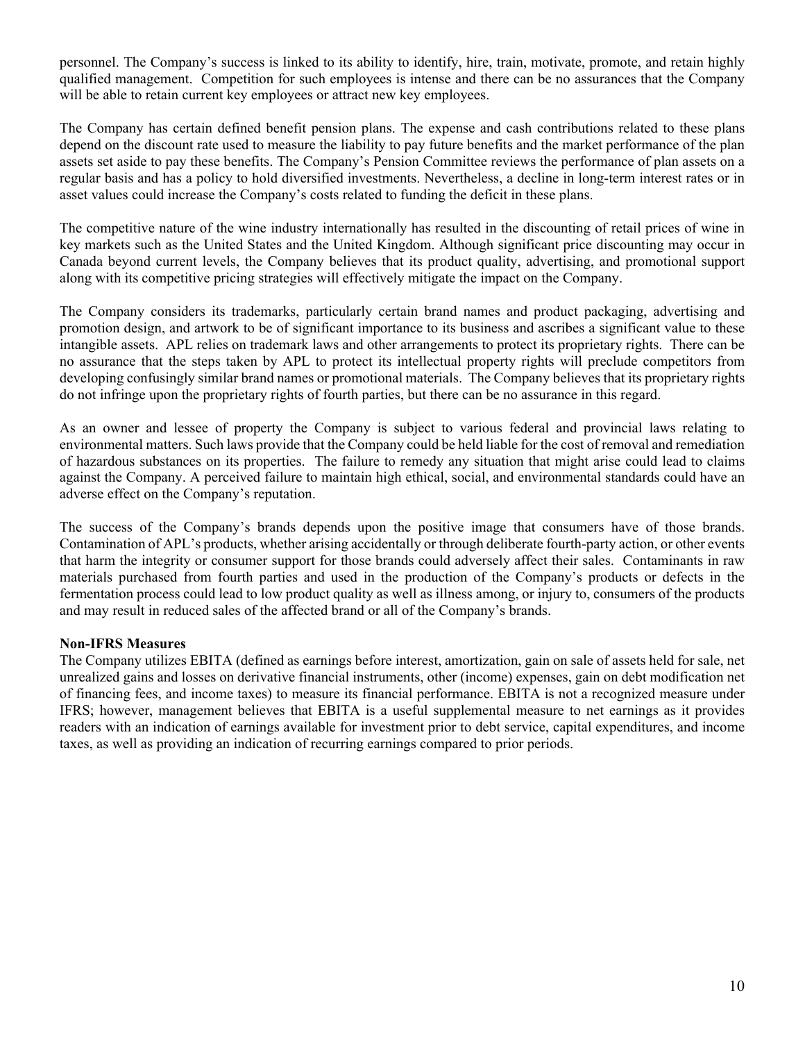personnel. The Company's success is linked to its ability to identify, hire, train, motivate, promote, and retain highly qualified management. Competition for such employees is intense and there can be no assurances that the Company will be able to retain current key employees or attract new key employees.

The Company has certain defined benefit pension plans. The expense and cash contributions related to these plans depend on the discount rate used to measure the liability to pay future benefits and the market performance of the plan assets set aside to pay these benefits. The Company's Pension Committee reviews the performance of plan assets on a regular basis and has a policy to hold diversified investments. Nevertheless, a decline in long-term interest rates or in asset values could increase the Company's costs related to funding the deficit in these plans.

The competitive nature of the wine industry internationally has resulted in the discounting of retail prices of wine in key markets such as the United States and the United Kingdom. Although significant price discounting may occur in Canada beyond current levels, the Company believes that its product quality, advertising, and promotional support along with its competitive pricing strategies will effectively mitigate the impact on the Company.

The Company considers its trademarks, particularly certain brand names and product packaging, advertising and promotion design, and artwork to be of significant importance to its business and ascribes a significant value to these intangible assets. APL relies on trademark laws and other arrangements to protect its proprietary rights. There can be no assurance that the steps taken by APL to protect its intellectual property rights will preclude competitors from developing confusingly similar brand names or promotional materials. The Company believes that its proprietary rights do not infringe upon the proprietary rights of fourth parties, but there can be no assurance in this regard.

As an owner and lessee of property the Company is subject to various federal and provincial laws relating to environmental matters. Such laws provide that the Company could be held liable for the cost of removal and remediation of hazardous substances on its properties. The failure to remedy any situation that might arise could lead to claims against the Company. A perceived failure to maintain high ethical, social, and environmental standards could have an adverse effect on the Company's reputation.

The success of the Company's brands depends upon the positive image that consumers have of those brands. Contamination of APL's products, whether arising accidentally or through deliberate fourth-party action, or other events that harm the integrity or consumer support for those brands could adversely affect their sales. Contaminants in raw materials purchased from fourth parties and used in the production of the Company's products or defects in the fermentation process could lead to low product quality as well as illness among, or injury to, consumers of the products and may result in reduced sales of the affected brand or all of the Company's brands.

#### **Non-IFRS Measures**

The Company utilizes EBITA (defined as earnings before interest, amortization, gain on sale of assets held for sale, net unrealized gains and losses on derivative financial instruments, other (income) expenses, gain on debt modification net of financing fees, and income taxes) to measure its financial performance. EBITA is not a recognized measure under IFRS; however, management believes that EBITA is a useful supplemental measure to net earnings as it provides readers with an indication of earnings available for investment prior to debt service, capital expenditures, and income taxes, as well as providing an indication of recurring earnings compared to prior periods.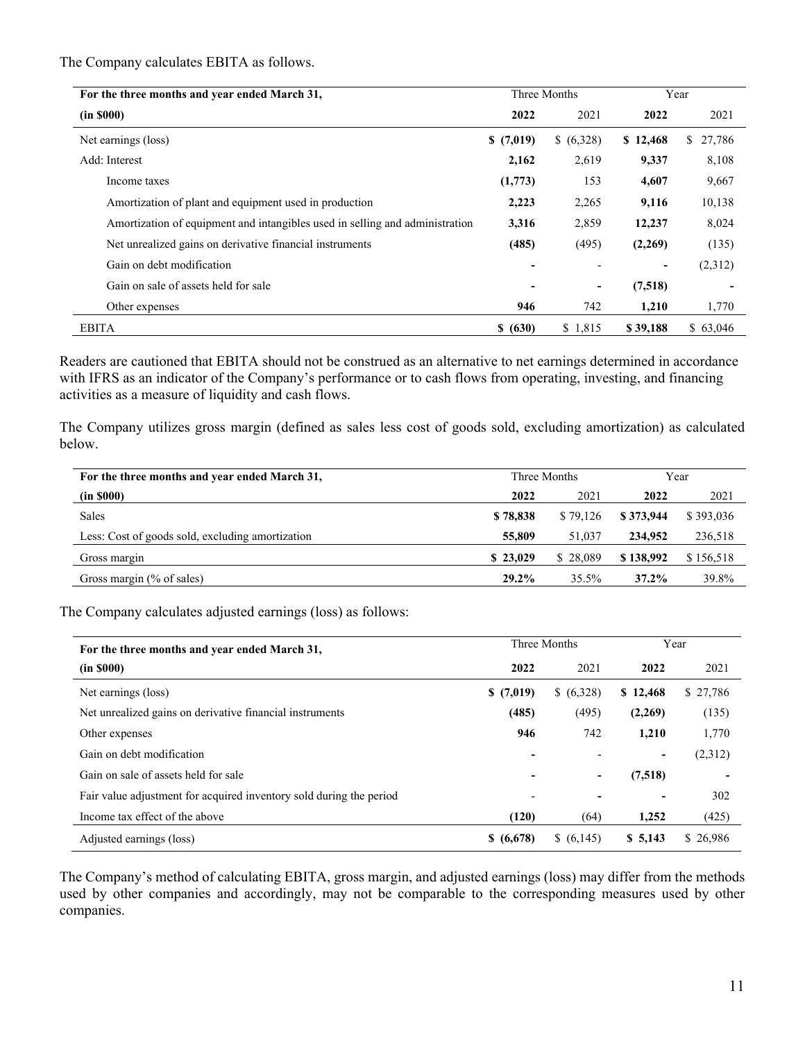The Company calculates EBITA as follows.

| For the three months and year ended March 31,                                | Three Months |            | Year     |              |
|------------------------------------------------------------------------------|--------------|------------|----------|--------------|
| (in 8000)                                                                    | 2022         | 2021       | 2022     | 2021         |
| Net earnings (loss)                                                          | \$(7,019)    | \$ (6,328) | \$12,468 | 27,786<br>S. |
| Add: Interest                                                                | 2,162        | 2,619      | 9,337    | 8,108        |
| Income taxes                                                                 | (1,773)      | 153        | 4,607    | 9,667        |
| Amortization of plant and equipment used in production                       | 2,223        | 2,265      | 9,116    | 10,138       |
| Amortization of equipment and intangibles used in selling and administration | 3,316        | 2,859      | 12,237   | 8,024        |
| Net unrealized gains on derivative financial instruments                     | (485)        | (495)      | (2,269)  | (135)        |
| Gain on debt modification                                                    |              |            |          | (2,312)      |
| Gain on sale of assets held for sale                                         |              | -          | (7,518)  |              |
| Other expenses                                                               | 946          | 742        | 1,210    | 1,770        |
| <b>EBITA</b>                                                                 | \$ (630)     | \$1,815    | \$39,188 | \$63,046     |

Readers are cautioned that EBITA should not be construed as an alternative to net earnings determined in accordance with IFRS as an indicator of the Company's performance or to cash flows from operating, investing, and financing activities as a measure of liquidity and cash flows.

The Company utilizes gross margin (defined as sales less cost of goods sold, excluding amortization) as calculated below.

| For the three months and year ended March 31,    | Three Months |          | Year      |           |
|--------------------------------------------------|--------------|----------|-----------|-----------|
| (in \$000)                                       | 2022         | 2021     | 2022      | 2021      |
| Sales                                            | \$78,838     | \$79,126 | \$373,944 | \$393,036 |
| Less: Cost of goods sold, excluding amortization | 55,809       | 51,037   | 234,952   | 236,518   |
| Gross margin                                     | \$23,029     | \$28,089 | \$138,992 | \$156,518 |
| Gross margin (% of sales)                        | 29.2%        | 35.5%    | $37.2\%$  | 39.8%     |

The Company calculates adjusted earnings (loss) as follows:

| For the three months and year ended March 31,                       |            | Three Months |          | Year     |
|---------------------------------------------------------------------|------------|--------------|----------|----------|
| (in \$000)                                                          | 2022       | 2021         | 2022     | 2021     |
| Net earnings (loss)                                                 | \$(7,019)  | \$ (6,328)   | \$12,468 | \$27,786 |
| Net unrealized gains on derivative financial instruments            | (485)      | (495)        | (2,269)  | (135)    |
| Other expenses                                                      | 946        | 742          | 1,210    | 1,770    |
| Gain on debt modification                                           | ۰          |              | ۰        | (2,312)  |
| Gain on sale of assets held for sale                                |            | -            | (7,518)  |          |
| Fair value adjustment for acquired inventory sold during the period |            | ۰            |          | 302      |
| Income tax effect of the above                                      | (120)      | (64)         | 1,252    | (425)    |
| Adjusted earnings (loss)                                            | \$ (6,678) | \$ (6,145)   | \$5,143  | \$26,986 |

The Company's method of calculating EBITA, gross margin, and adjusted earnings (loss) may differ from the methods used by other companies and accordingly, may not be comparable to the corresponding measures used by other companies.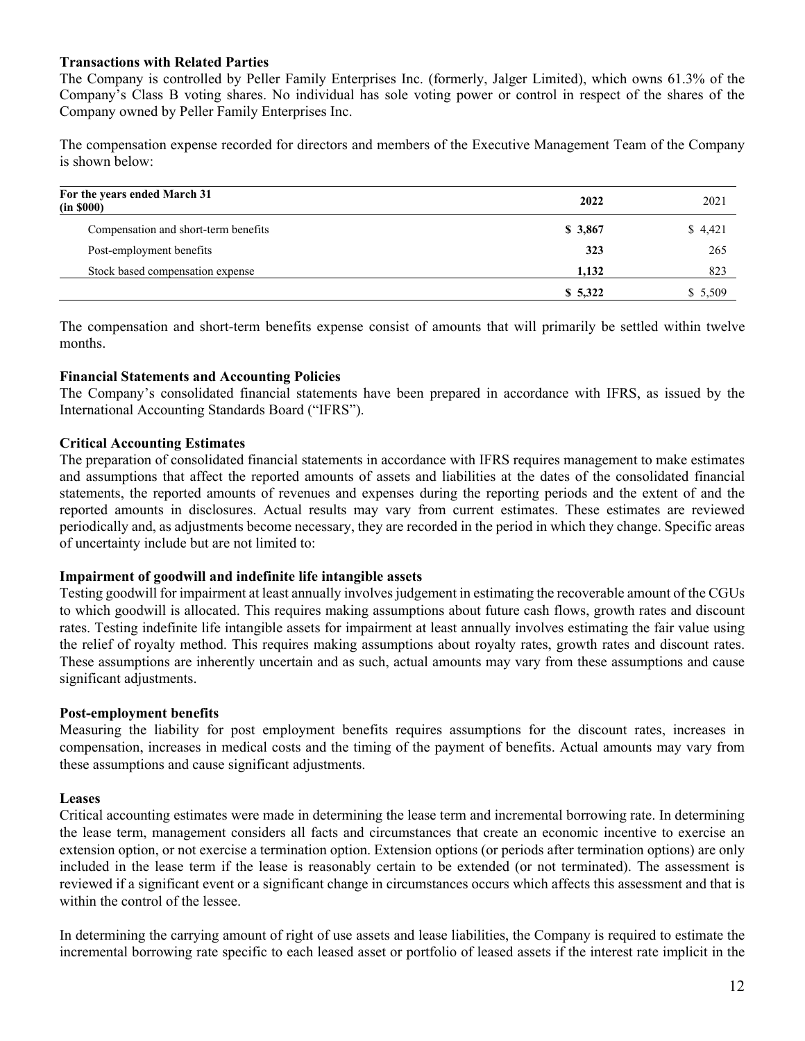## **Transactions with Related Parties**

The Company is controlled by Peller Family Enterprises Inc. (formerly, Jalger Limited), which owns 61.3% of the Company's Class B voting shares. No individual has sole voting power or control in respect of the shares of the Company owned by Peller Family Enterprises Inc.

The compensation expense recorded for directors and members of the Executive Management Team of the Company is shown below:

| For the years ended March 31<br>(in 8000) | 2022     | 2021    |
|-------------------------------------------|----------|---------|
| Compensation and short-term benefits      | \$ 3,867 | \$4,421 |
| Post-employment benefits                  | 323      | 265     |
| Stock based compensation expense          | 1.132    | 823     |
|                                           | \$5,322  | \$5,509 |

The compensation and short-term benefits expense consist of amounts that will primarily be settled within twelve months.

#### **Financial Statements and Accounting Policies**

The Company's consolidated financial statements have been prepared in accordance with IFRS, as issued by the International Accounting Standards Board ("IFRS").

# **Critical Accounting Estimates**

The preparation of consolidated financial statements in accordance with IFRS requires management to make estimates and assumptions that affect the reported amounts of assets and liabilities at the dates of the consolidated financial statements, the reported amounts of revenues and expenses during the reporting periods and the extent of and the reported amounts in disclosures. Actual results may vary from current estimates. These estimates are reviewed periodically and, as adjustments become necessary, they are recorded in the period in which they change. Specific areas of uncertainty include but are not limited to:

#### **Impairment of goodwill and indefinite life intangible assets**

Testing goodwill for impairment at least annually involves judgement in estimating the recoverable amount of the CGUs to which goodwill is allocated. This requires making assumptions about future cash flows, growth rates and discount rates. Testing indefinite life intangible assets for impairment at least annually involves estimating the fair value using the relief of royalty method. This requires making assumptions about royalty rates, growth rates and discount rates. These assumptions are inherently uncertain and as such, actual amounts may vary from these assumptions and cause significant adjustments.

#### **Post-employment benefits**

Measuring the liability for post employment benefits requires assumptions for the discount rates, increases in compensation, increases in medical costs and the timing of the payment of benefits. Actual amounts may vary from these assumptions and cause significant adjustments.

#### **Leases**

Critical accounting estimates were made in determining the lease term and incremental borrowing rate. In determining the lease term, management considers all facts and circumstances that create an economic incentive to exercise an extension option, or not exercise a termination option. Extension options (or periods after termination options) are only included in the lease term if the lease is reasonably certain to be extended (or not terminated). The assessment is reviewed if a significant event or a significant change in circumstances occurs which affects this assessment and that is within the control of the lessee.

In determining the carrying amount of right of use assets and lease liabilities, the Company is required to estimate the incremental borrowing rate specific to each leased asset or portfolio of leased assets if the interest rate implicit in the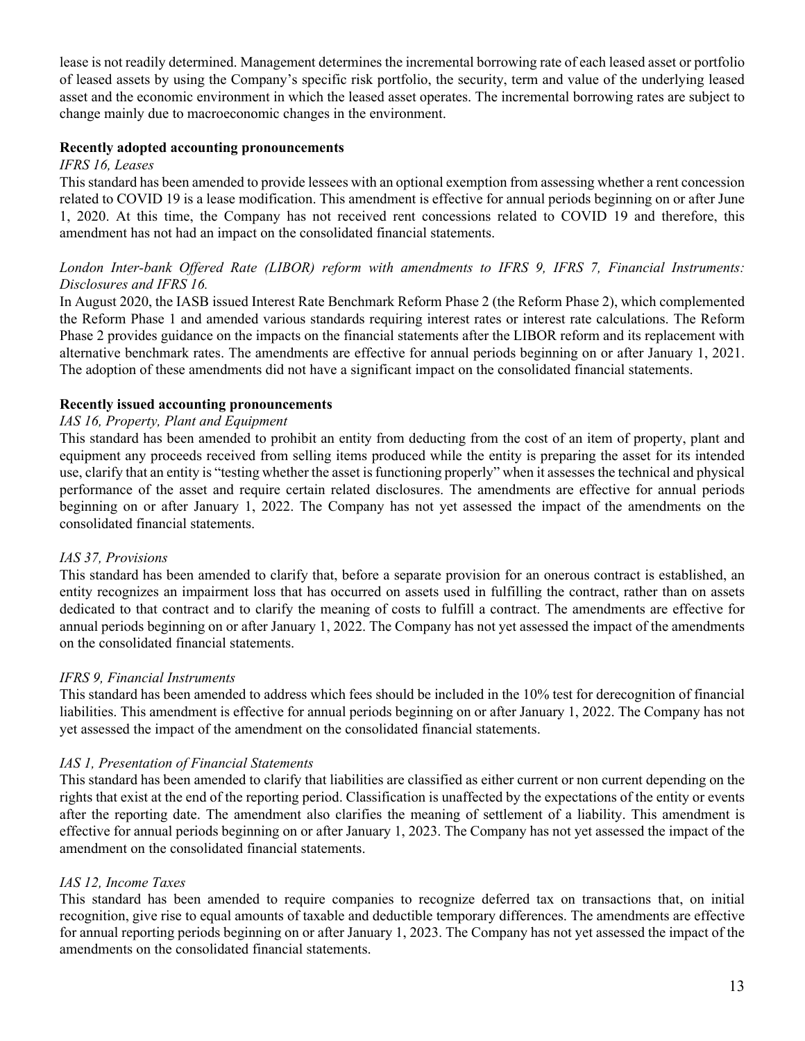lease is not readily determined. Management determines the incremental borrowing rate of each leased asset or portfolio of leased assets by using the Company's specific risk portfolio, the security, term and value of the underlying leased asset and the economic environment in which the leased asset operates. The incremental borrowing rates are subject to change mainly due to macroeconomic changes in the environment.

## **Recently adopted accounting pronouncements**

## *IFRS 16, Leases*

This standard has been amended to provide lessees with an optional exemption from assessing whether a rent concession related to COVID 19 is a lease modification. This amendment is effective for annual periods beginning on or after June 1, 2020. At this time, the Company has not received rent concessions related to COVID 19 and therefore, this amendment has not had an impact on the consolidated financial statements.

# *London Inter-bank Offered Rate (LIBOR) reform with amendments to IFRS 9, IFRS 7, Financial Instruments: Disclosures and IFRS 16.*

In August 2020, the IASB issued Interest Rate Benchmark Reform Phase 2 (the Reform Phase 2), which complemented the Reform Phase 1 and amended various standards requiring interest rates or interest rate calculations. The Reform Phase 2 provides guidance on the impacts on the financial statements after the LIBOR reform and its replacement with alternative benchmark rates. The amendments are effective for annual periods beginning on or after January 1, 2021. The adoption of these amendments did not have a significant impact on the consolidated financial statements.

# **Recently issued accounting pronouncements**

#### *IAS 16, Property, Plant and Equipment*

This standard has been amended to prohibit an entity from deducting from the cost of an item of property, plant and equipment any proceeds received from selling items produced while the entity is preparing the asset for its intended use, clarify that an entity is "testing whether the asset is functioning properly" when it assesses the technical and physical performance of the asset and require certain related disclosures. The amendments are effective for annual periods beginning on or after January 1, 2022. The Company has not yet assessed the impact of the amendments on the consolidated financial statements.

#### *IAS 37, Provisions*

This standard has been amended to clarify that, before a separate provision for an onerous contract is established, an entity recognizes an impairment loss that has occurred on assets used in fulfilling the contract, rather than on assets dedicated to that contract and to clarify the meaning of costs to fulfill a contract. The amendments are effective for annual periods beginning on or after January 1, 2022. The Company has not yet assessed the impact of the amendments on the consolidated financial statements.

# *IFRS 9, Financial Instruments*

This standard has been amended to address which fees should be included in the 10% test for derecognition of financial liabilities. This amendment is effective for annual periods beginning on or after January 1, 2022. The Company has not yet assessed the impact of the amendment on the consolidated financial statements.

# *IAS 1, Presentation of Financial Statements*

This standard has been amended to clarify that liabilities are classified as either current or non current depending on the rights that exist at the end of the reporting period. Classification is unaffected by the expectations of the entity or events after the reporting date. The amendment also clarifies the meaning of settlement of a liability. This amendment is effective for annual periods beginning on or after January 1, 2023. The Company has not yet assessed the impact of the amendment on the consolidated financial statements.

# *IAS 12, Income Taxes*

This standard has been amended to require companies to recognize deferred tax on transactions that, on initial recognition, give rise to equal amounts of taxable and deductible temporary differences. The amendments are effective for annual reporting periods beginning on or after January 1, 2023. The Company has not yet assessed the impact of the amendments on the consolidated financial statements.